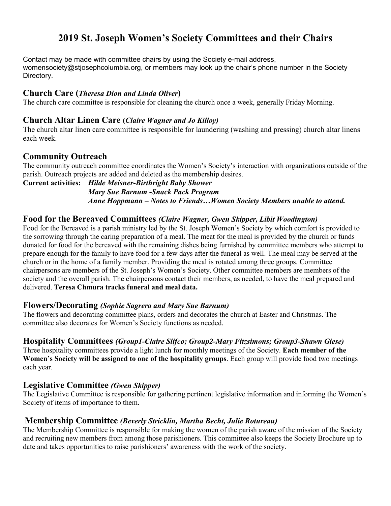# **2019 St. Joseph Women's Society Committees and their Chairs**

Contact may be made with committee chairs by using the Society e-mail address, womensociety@stjosephcolumbia.org, or members may look up the chair's phone number in the Society Directory.

## **Church Care (***Theresa Dion and Linda Oliver***)**

The church care committee is responsible for cleaning the church once a week, generally Friday Morning.

#### **Church Altar Linen Care (***Claire Wagner and Jo Killoy)*

The church altar linen care committee is responsible for laundering (washing and pressing) church altar linens each week.

# **Community Outreach**

The community outreach committee coordinates the Women's Society's interaction with organizations outside of the parish. Outreach projects are added and deleted as the membership desires.

#### **Current activities:** *Hilde Meisner-Birthright Baby Shower Mary Sue Barnum -Snack Pack Program Anne Hoppmann – Notes to Friends…Women Society Members unable to attend.*

### **Food for the Bereaved Committees** *(Claire Wagner, Gwen Skipper, Libit Woodington)*

Food for the Bereaved is a parish ministry led by the St. Joseph Women's Society by which comfort is provided to the sorrowing through the caring preparation of a meal. The meat for the meal is provided by the church or funds donated for food for the bereaved with the remaining dishes being furnished by committee members who attempt to prepare enough for the family to have food for a few days after the funeral as well. The meal may be served at the church or in the home of a family member. Providing the meal is rotated among three groups. Committee chairpersons are members of the St. Joseph's Women's Society. Other committee members are members of the society and the overall parish. The chairpersons contact their members, as needed, to have the meal prepared and delivered. **Teresa Chmura tracks funeral and meal data.** 

#### **Flowers/Decorating** *(Sophie Sagrera and Mary Sue Barnum)*

The flowers and decorating committee plans, orders and decorates the church at Easter and Christmas. The committee also decorates for Women's Society functions as needed.

# **Hospitality Committees** *(Group1-Claire Slifco; Group2-Mary Fitzsimons; Group3-Shawn Giese)*

Three hospitality committees provide a light lunch for monthly meetings of the Society. **Each member of the Women's Society will be assigned to one of the hospitality groups**. Each group will provide food two meetings each year.

# **Legislative Committee** *(Gwen Skipper)*

The Legislative Committee is responsible for gathering pertinent legislative information and informing the Women's Society of items of importance to them.

#### **Membership Committee** *(Beverly Stricklin, Martha Becht, Julie Rotureau)*

The Membership Committee is responsible for making the women of the parish aware of the mission of the Society and recruiting new members from among those parishioners. This committee also keeps the Society Brochure up to date and takes opportunities to raise parishioners' awareness with the work of the society.